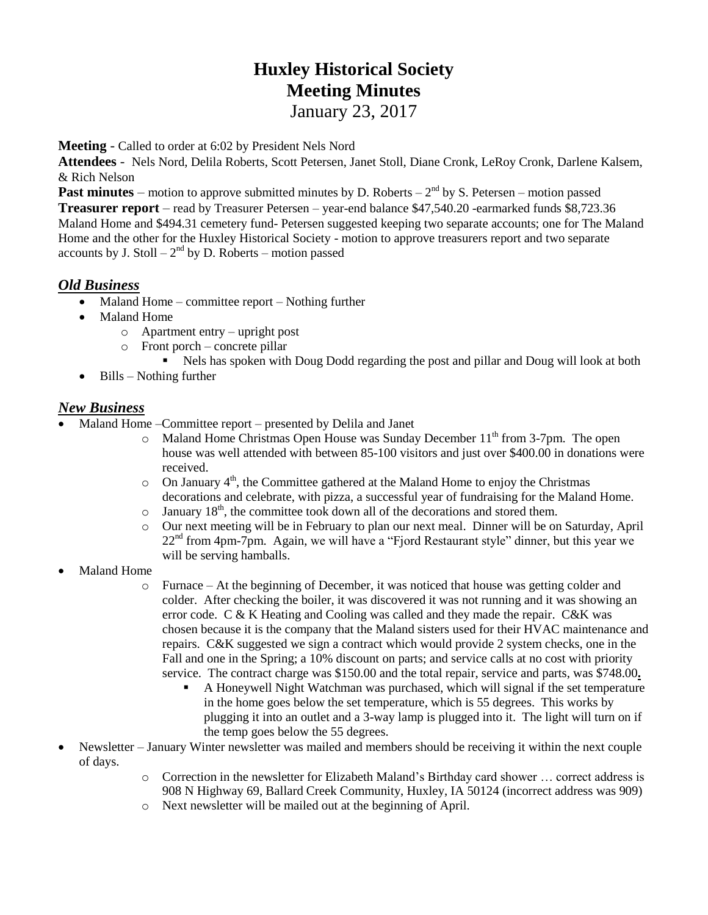# **Huxley Historical Society Meeting Minutes** January 23, 2017

**Meeting** - Called to order at 6:02 by President Nels Nord

**Attendees** - Nels Nord, Delila Roberts, Scott Petersen, Janet Stoll, Diane Cronk, LeRoy Cronk, Darlene Kalsem, & Rich Nelson

**Past minutes** – motion to approve submitted minutes by D. Roberts –  $2<sup>nd</sup>$  by S. Petersen – motion passed

**Treasurer report** – read by Treasurer Petersen – year-end balance \$47,540.20 -earmarked funds \$8,723.36 Maland Home and \$494.31 cemetery fund- Petersen suggested keeping two separate accounts; one for The Maland Home and the other for the Huxley Historical Society - motion to approve treasurers report and two separate accounts by J. Stoll  $-2<sup>nd</sup>$  by D. Roberts – motion passed

## *Old Business*

- Maland Home committee report Nothing further
- Maland Home
	- o Apartment entry upright post
	- o Front porch concrete pillar
		- Nels has spoken with Doug Dodd regarding the post and pillar and Doug will look at both
- $\bullet$  Bills Nothing further

### *New Business*

- Maland Home –Committee report presented by Delila and Janet
	- $\circ$  Maland Home Christmas Open House was Sunday December 11<sup>th</sup> from 3-7pm. The open house was well attended with between 85-100 visitors and just over \$400.00 in donations were received.
	- $\circ$  On January 4<sup>th</sup>, the Committee gathered at the Maland Home to enjoy the Christmas decorations and celebrate, with pizza, a successful year of fundraising for the Maland Home.
	- $\circ$  January 18<sup>th</sup>, the committee took down all of the decorations and stored them.
	- o Our next meeting will be in February to plan our next meal. Dinner will be on Saturday, April 22nd from 4pm-7pm. Again, we will have a "Fjord Restaurant style" dinner, but this year we will be serving hamballs.
- Maland Home
	- o Furnace At the beginning of December, it was noticed that house was getting colder and colder. After checking the boiler, it was discovered it was not running and it was showing an error code. C & K Heating and Cooling was called and they made the repair. C&K was chosen because it is the company that the Maland sisters used for their HVAC maintenance and repairs. C&K suggested we sign a contract which would provide 2 system checks, one in the Fall and one in the Spring; a 10% discount on parts; and service calls at no cost with priority service. The contract charge was \$150.00 and the total repair, service and parts, was \$748.00**.**
		- A Honeywell Night Watchman was purchased, which will signal if the set temperature in the home goes below the set temperature, which is 55 degrees. This works by plugging it into an outlet and a 3-way lamp is plugged into it. The light will turn on if the temp goes below the 55 degrees.
- Newsletter January Winter newsletter was mailed and members should be receiving it within the next couple of days.
	- o Correction in the newsletter for Elizabeth Maland's Birthday card shower … correct address is 908 N Highway 69, Ballard Creek Community, Huxley, IA 50124 (incorrect address was 909)
	- o Next newsletter will be mailed out at the beginning of April.